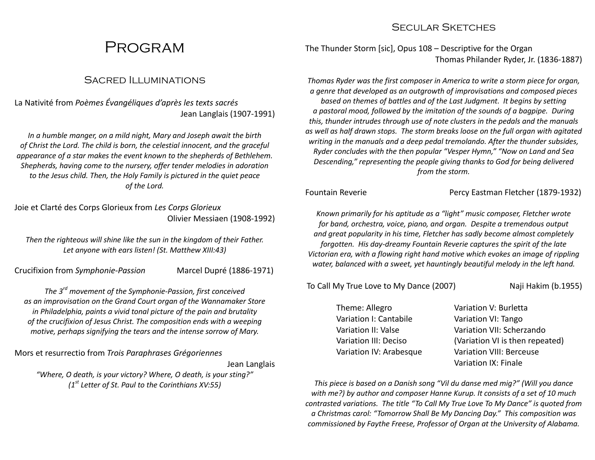## **PROGRAM**

#### Sacred Illuminations

La Nativité from Poèmes Évangéliques d'après les texts sacrés Jean Langlais (1907-1991)

In a humble manger, on a mild night, Mary and Joseph await the birth of Christ the Lord. The child is born, the celestial innocent, and the graceful appearance of a star makes the event known to the shepherds of Bethlehem. Shepherds, having come to the nursery, offer tender melodies in adoration to the Jesus child. Then, the Holy Family is pictured in the quiet peace of the Lord.

Joie et Clarté des Corps Glorieux from Les Corps Glorieux Olivier Messiaen (1908-1992)

Then the righteous will shine like the sun in the kingdom of their Father. Let anyone with ears listen! (St. Matthew XIII:43)

Crucifixion from Symphonie-Passion Marcel Dupré (1886-1971)

The  $3<sup>rd</sup>$  movement of the Symphonie-Passion, first conceived as an improvisation on the Grand Court organ of the Wannamaker Store in Philadelphia, paints a vivid tonal picture of the pain and brutality of the crucifixion of Jesus Christ. The composition ends with a weeping motive, perhaps signifying the tears and the intense sorrow of Mary.

Mors et resurrectio from Trois Paraphrases Grégoriennes

Jean Langlais

"Where, O death, is your victory? Where, O death, is your sting?"  $(1<sup>st</sup> Letter of St. Paul to the Corinthians XV:55)$ 

#### SECULAR SKETCHES

The Thunder Storm [sic], Opus 108 – Descriptive for the Organ Thomas Philander Ryder, Jr. (1836-1887)

Thomas Ryder was the first composer in America to write a storm piece for organ, a genre that developed as an outgrowth of improvisations and composed pieces based on themes of battles and of the Last Judgment. It begins by setting a pastoral mood, followed by the imitation of the sounds of a bagpipe. During this, thunder intrudes through use of note clusters in the pedals and the manuals as well as half drawn stops. The storm breaks loose on the full organ with agitated writing in the manuals and a deep pedal tremolando. After the thunder subsides, Ryder concludes with the then popular "Vesper Hymn," "Now on Land and Sea Descending," representing the people giving thanks to God for being delivered from the storm.

Fountain Reverie **Percy Eastman Fletcher (1879-1932)** 

Known primarily for his aptitude as a "light" music composer, Fletcher wrote for band, orchestra, voice, piano, and organ. Despite a tremendous output and great popularity in his time, Fletcher has sadly become almost completely forgotten. His day-dreamy Fountain Reverie captures the spirit of the late Victorian era, with a flowing right hand motive which evokes an image of rippling water, balanced with a sweet, yet hauntingly beautiful melody in the left hand.

To Call My True Love to My Dance (2007) Naji Hakim (b.1955)

Theme: Allegro Variation I: Cantabile Variation II: Valse Variation III: Deciso Variation IV: Arabesque Variation V: Burletta Variation VI: Tango Variation VII: Scherzando (Variation VI is then repeated) Variation VIII: Berceuse Variation IX: Finale

This piece is based on a Danish song "Vil du danse med mig?" (Will you dance with me?) by author and composer Hanne Kurup. It consists of a set of 10 much contrasted variations. The title "To Call My True Love To My Dance" is quoted from a Christmas carol: "Tomorrow Shall Be My Dancing Day." This composition was commissioned by Faythe Freese, Professor of Organ at the University of Alabama.